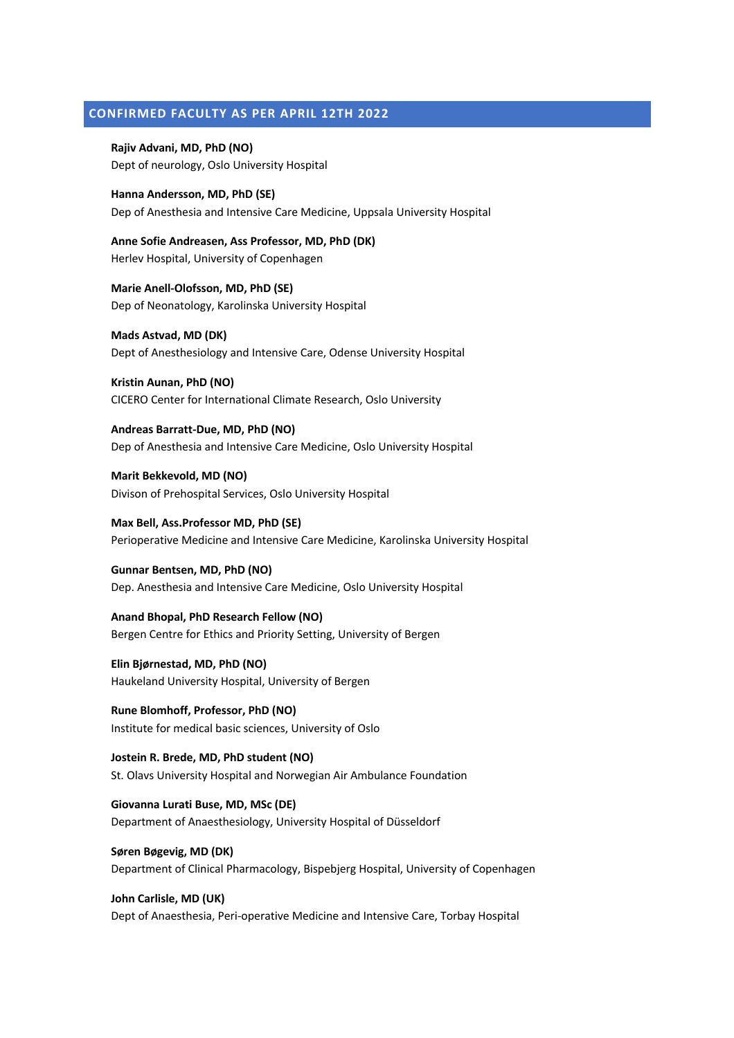## **CONFIRMED FACULTY AS PER APRIL 12TH 2022**

**Rajiv Advani, MD, PhD (NO)** Dept of neurology, Oslo University Hospital

**Hanna Andersson, MD, PhD (SE)** Dep of Anesthesia and Intensive Care Medicine, Uppsala University Hospital

**Anne Sofie Andreasen, Ass Professor, MD, PhD (DK)** Herlev Hospital, University of Copenhagen

**Marie Anell-Olofsson, MD, PhD (SE)** Dep of Neonatology, Karolinska University Hospital

**Mads Astvad, MD (DK)** Dept of Anesthesiology and Intensive Care, Odense University Hospital

**Kristin Aunan, PhD (NO)** CICERO Center for International Climate Research, Oslo University

**Andreas Barratt-Due, MD, PhD (NO)** Dep of Anesthesia and Intensive Care Medicine, Oslo University Hospital

**Marit Bekkevold, MD (NO)** Divison of Prehospital Services, Oslo University Hospital

**Max Bell, Ass.Professor MD, PhD (SE)** Perioperative Medicine and Intensive Care Medicine, Karolinska University Hospital

**Gunnar Bentsen, MD, PhD (NO)** Dep. Anesthesia and Intensive Care Medicine, Oslo University Hospital

**Anand Bhopal, PhD Research Fellow (NO)** Bergen Centre for Ethics and Priority Setting, University of Bergen

**Elin Bjørnestad, MD, PhD (NO)** Haukeland University Hospital, University of Bergen

**Rune Blomhoff, Professor, PhD (NO)** Institute for medical basic sciences, University of Oslo

**Jostein R. Brede, MD, PhD student (NO)** St. Olavs University Hospital and Norwegian Air Ambulance Foundation

**Giovanna Lurati Buse, MD, MSc (DE)** Department of Anaesthesiology, University Hospital of Düsseldorf

**Søren Bøgevig, MD (DK)** Department of Clinical Pharmacology, Bispebjerg Hospital, University of Copenhagen

**John Carlisle, MD (UK)** Dept of Anaesthesia, Peri-operative Medicine and Intensive Care, Torbay Hospital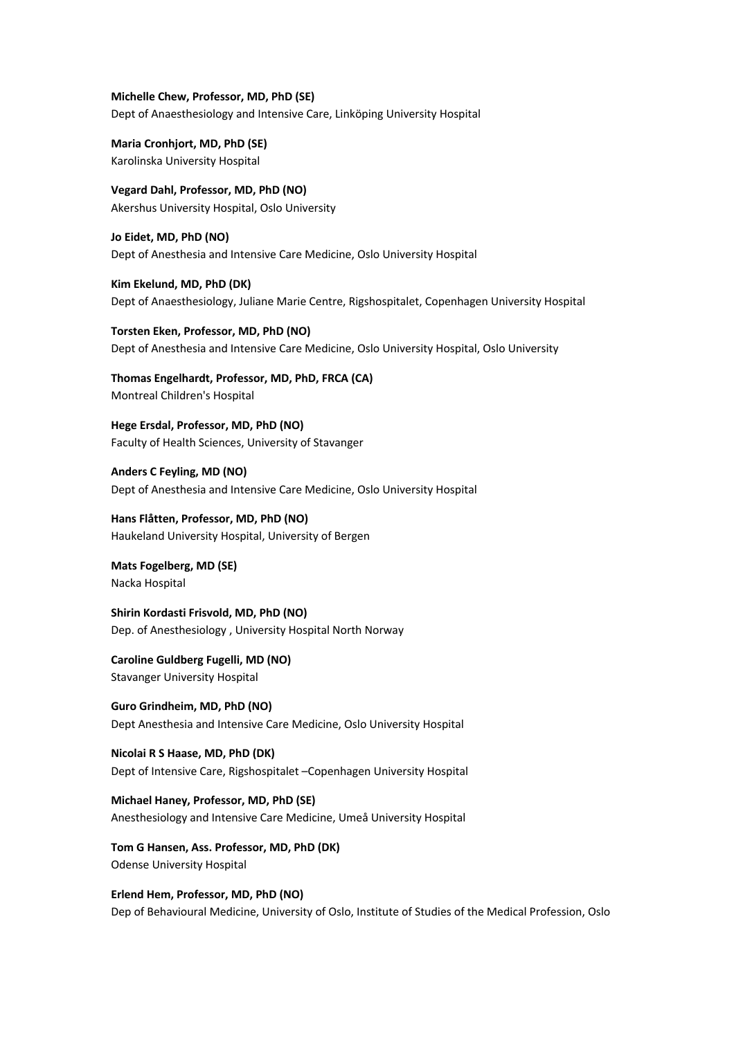**Michelle Chew, Professor, MD, PhD (SE)** Dept of Anaesthesiology and Intensive Care, Linköping University Hospital

**Maria Cronhjort, MD, PhD (SE)** Karolinska University Hospital

**Vegard Dahl, Professor, MD, PhD (NO)** Akershus University Hospital, Oslo University

**Jo Eidet, MD, PhD (NO)** Dept of Anesthesia and Intensive Care Medicine, Oslo University Hospital

**Kim Ekelund, MD, PhD (DK)** Dept of Anaesthesiology, Juliane Marie Centre, Rigshospitalet, Copenhagen University Hospital

**Torsten Eken, Professor, MD, PhD (NO)** Dept of Anesthesia and Intensive Care Medicine, Oslo University Hospital, Oslo University

**Thomas Engelhardt, Professor, MD, PhD, FRCA (CA)** Montreal Children's Hospital

**Hege Ersdal, Professor, MD, PhD (NO)** Faculty of Health Sciences, University of Stavanger

**Anders C Feyling, MD (NO)** Dept of Anesthesia and Intensive Care Medicine, Oslo University Hospital

**Hans Flåtten, Professor, MD, PhD (NO)** Haukeland University Hospital, University of Bergen

**Mats Fogelberg, MD (SE)** Nacka Hospital

**Shirin Kordasti Frisvold, MD, PhD (NO)** Dep. of Anesthesiology , University Hospital North Norway

**Caroline Guldberg Fugelli, MD (NO)** Stavanger University Hospital

**Guro Grindheim, MD, PhD (NO)** Dept Anesthesia and Intensive Care Medicine, Oslo University Hospital

**Nicolai R S Haase, MD, PhD (DK)** Dept of Intensive Care, Rigshospitalet –Copenhagen University Hospital

**Michael Haney, Professor, MD, PhD (SE)** Anesthesiology and Intensive Care Medicine, Umeå University Hospital

**Tom G Hansen, Ass. Professor, MD, PhD (DK)** Odense University Hospital

**Erlend Hem, Professor, MD, PhD (NO)** Dep of Behavioural Medicine, University of Oslo, Institute of Studies of the Medical Profession, Oslo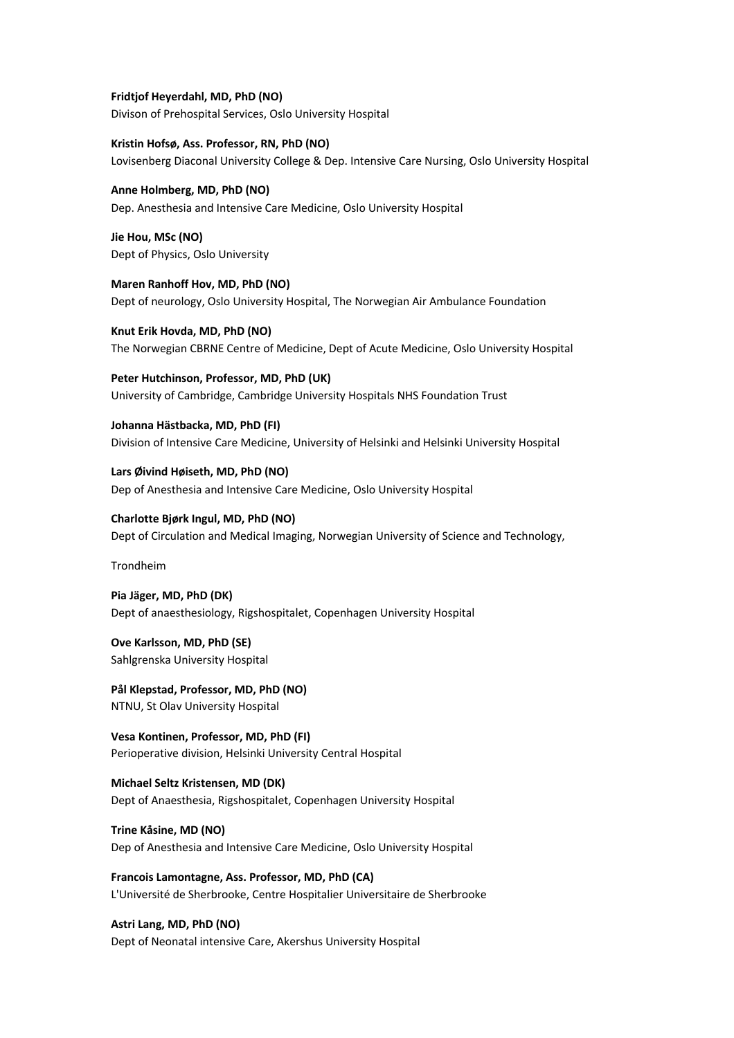**Fridtjof Heyerdahl, MD, PhD (NO)** Divison of Prehospital Services, Oslo University Hospital

**Kristin Hofsø, Ass. Professor, RN, PhD (NO)** Lovisenberg Diaconal University College & Dep. Intensive Care Nursing, Oslo University Hospital

**Anne Holmberg, MD, PhD (NO)** Dep. Anesthesia and Intensive Care Medicine, Oslo University Hospital

**Jie Hou, MSc (NO)** Dept of Physics, Oslo University

**Maren Ranhoff Hov, MD, PhD (NO)** Dept of neurology, Oslo University Hospital, The Norwegian Air Ambulance Foundation

**Knut Erik Hovda, MD, PhD (NO)** The Norwegian CBRNE Centre of Medicine, Dept of Acute Medicine, Oslo University Hospital

**Peter Hutchinson, Professor, MD, PhD (UK)** University of Cambridge, Cambridge University Hospitals NHS Foundation Trust

**Johanna Hästbacka, MD, PhD (FI)** Division of Intensive Care Medicine, University of Helsinki and Helsinki University Hospital

**Lars Øivind Høiseth, MD, PhD (NO)** Dep of Anesthesia and Intensive Care Medicine, Oslo University Hospital

**Charlotte Bjørk Ingul, MD, PhD (NO)** Dept of Circulation and Medical Imaging, Norwegian University of Science and Technology,

Trondheim

**Pia Jäger, MD, PhD (DK)** Dept of anaesthesiology, Rigshospitalet, Copenhagen University Hospital

**Ove Karlsson, MD, PhD (SE)** Sahlgrenska University Hospital

**Pål Klepstad, Professor, MD, PhD (NO)** NTNU, St Olav University Hospital

**Vesa Kontinen, Professor, MD, PhD (FI)** Perioperative division, Helsinki University Central Hospital

**Michael Seltz Kristensen, MD (DK)** Dept of Anaesthesia, Rigshospitalet, Copenhagen University Hospital

**Trine Kåsine, MD (NO)** Dep of Anesthesia and Intensive Care Medicine, Oslo University Hospital

**Francois Lamontagne, Ass. Professor, MD, PhD (CA)** L'Université de Sherbrooke, Centre Hospitalier Universitaire de Sherbrooke

**Astri Lang, MD, PhD (NO)** Dept of Neonatal intensive Care, Akershus University Hospital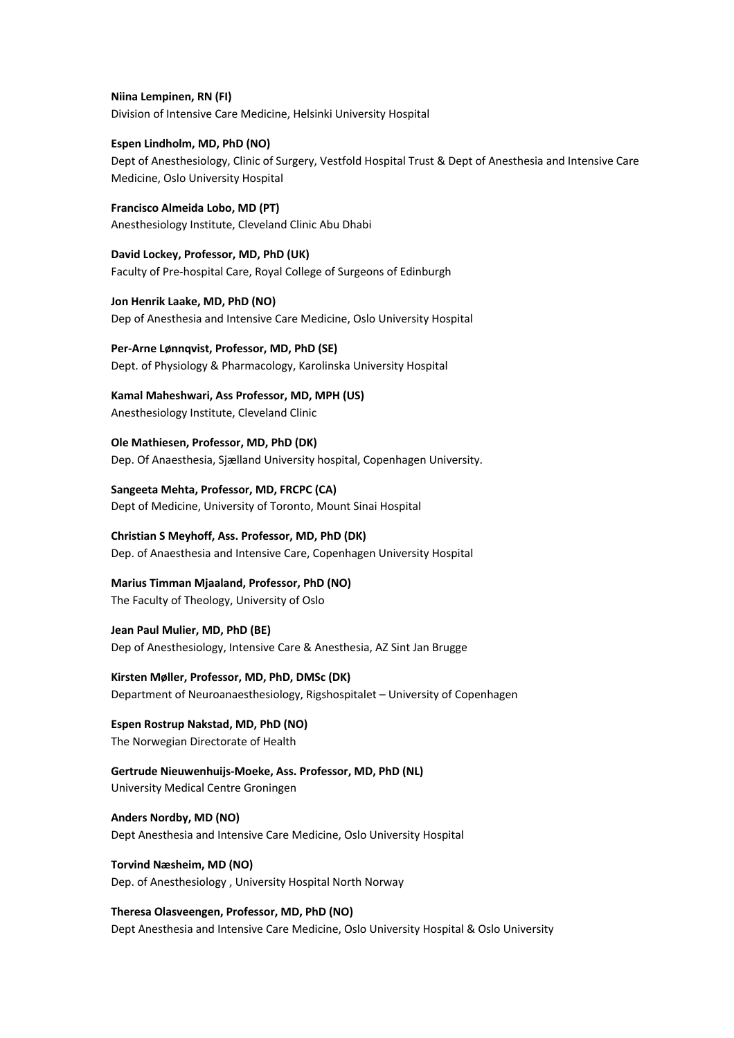**Niina Lempinen, RN (FI)** Division of Intensive Care Medicine, Helsinki University Hospital

**Espen Lindholm, MD, PhD (NO)** Dept of Anesthesiology, Clinic of Surgery, Vestfold Hospital Trust & Dept of Anesthesia and Intensive Care Medicine, Oslo University Hospital

**Francisco Almeida Lobo, MD (PT)** Anesthesiology Institute, Cleveland Clinic Abu Dhabi

**David Lockey, Professor, MD, PhD (UK)** Faculty of Pre-hospital Care, Royal College of Surgeons of Edinburgh

**Jon Henrik Laake, MD, PhD (NO)** Dep of Anesthesia and Intensive Care Medicine, Oslo University Hospital

**Per-Arne Lønnqvist, Professor, MD, PhD (SE)** Dept. of Physiology & Pharmacology, Karolinska University Hospital

**Kamal Maheshwari, Ass Professor, MD, MPH (US)** Anesthesiology Institute, Cleveland Clinic

**Ole Mathiesen, Professor, MD, PhD (DK)** Dep. Of Anaesthesia, Sjælland University hospital, Copenhagen University.

**Sangeeta Mehta, Professor, MD, FRCPC (CA)** Dept of Medicine, University of Toronto, Mount Sinai Hospital

**Christian S Meyhoff, Ass. Professor, MD, PhD (DK)** Dep. of Anaesthesia and Intensive Care, Copenhagen University Hospital

**Marius Timman Mjaaland, Professor, PhD (NO)** The Faculty of Theology, University of Oslo

**Jean Paul Mulier, MD, PhD (BE)** Dep of Anesthesiology, Intensive Care & Anesthesia, AZ Sint Jan Brugge

**Kirsten Møller, Professor, MD, PhD, DMSc (DK)** Department of Neuroanaesthesiology, Rigshospitalet – University of Copenhagen

**Espen Rostrup Nakstad, MD, PhD (NO)** The Norwegian Directorate of Health

**Gertrude Nieuwenhuijs-Moeke, Ass. Professor, MD, PhD (NL)** University Medical Centre Groningen

**Anders Nordby, MD (NO)** Dept Anesthesia and Intensive Care Medicine, Oslo University Hospital

**Torvind Næsheim, MD (NO)** Dep. of Anesthesiology , University Hospital North Norway

**Theresa Olasveengen, Professor, MD, PhD (NO)** Dept Anesthesia and Intensive Care Medicine, Oslo University Hospital & Oslo University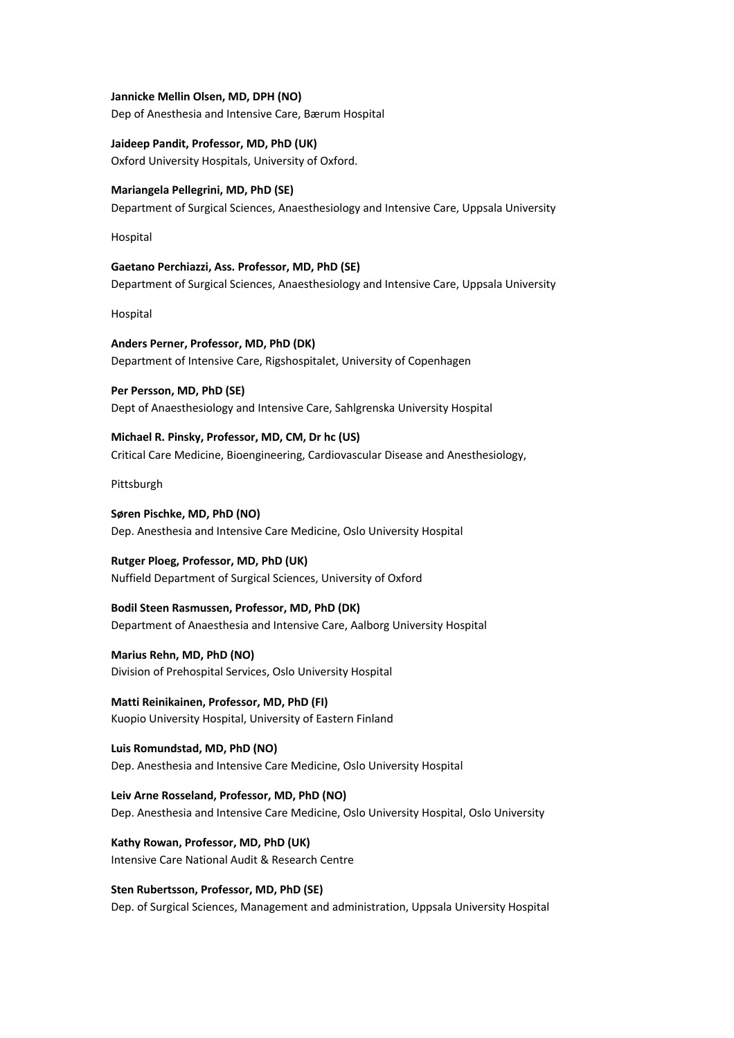**Jannicke Mellin Olsen, MD, DPH (NO)**

Dep of Anesthesia and Intensive Care, Bærum Hospital

**Jaideep Pandit, Professor, MD, PhD (UK)** Oxford University Hospitals, University of Oxford.

**Mariangela Pellegrini, MD, PhD (SE)** Department of Surgical Sciences, Anaesthesiology and Intensive Care, Uppsala University

Hospital

**Gaetano Perchiazzi, Ass. Professor, MD, PhD (SE)** Department of Surgical Sciences, Anaesthesiology and Intensive Care, Uppsala University

Hospital

**Anders Perner, Professor, MD, PhD (DK)** Department of Intensive Care, Rigshospitalet, University of Copenhagen

**Per Persson, MD, PhD (SE)** Dept of Anaesthesiology and Intensive Care, Sahlgrenska University Hospital

**Michael R. Pinsky, Professor, MD, CM, Dr hc (US)** Critical Care Medicine, Bioengineering, Cardiovascular Disease and Anesthesiology,

Pittsburgh

**Søren Pischke, MD, PhD (NO)** Dep. Anesthesia and Intensive Care Medicine, Oslo University Hospital

**Rutger Ploeg, Professor, MD, PhD (UK)** Nuffield Department of Surgical Sciences, University of Oxford

**Bodil Steen Rasmussen, Professor, MD, PhD (DK)** Department of Anaesthesia and Intensive Care, Aalborg University Hospital

**Marius Rehn, MD, PhD (NO)** Division of Prehospital Services, Oslo University Hospital

**Matti Reinikainen, Professor, MD, PhD (FI)** Kuopio University Hospital, University of Eastern Finland

**Luis Romundstad, MD, PhD (NO)** Dep. Anesthesia and Intensive Care Medicine, Oslo University Hospital

**Leiv Arne Rosseland, Professor, MD, PhD (NO)** Dep. Anesthesia and Intensive Care Medicine, Oslo University Hospital, Oslo University

**Kathy Rowan, Professor, MD, PhD (UK)** Intensive Care National Audit & Research Centre

**Sten Rubertsson, Professor, MD, PhD (SE)** Dep. of Surgical Sciences, Management and administration, Uppsala University Hospital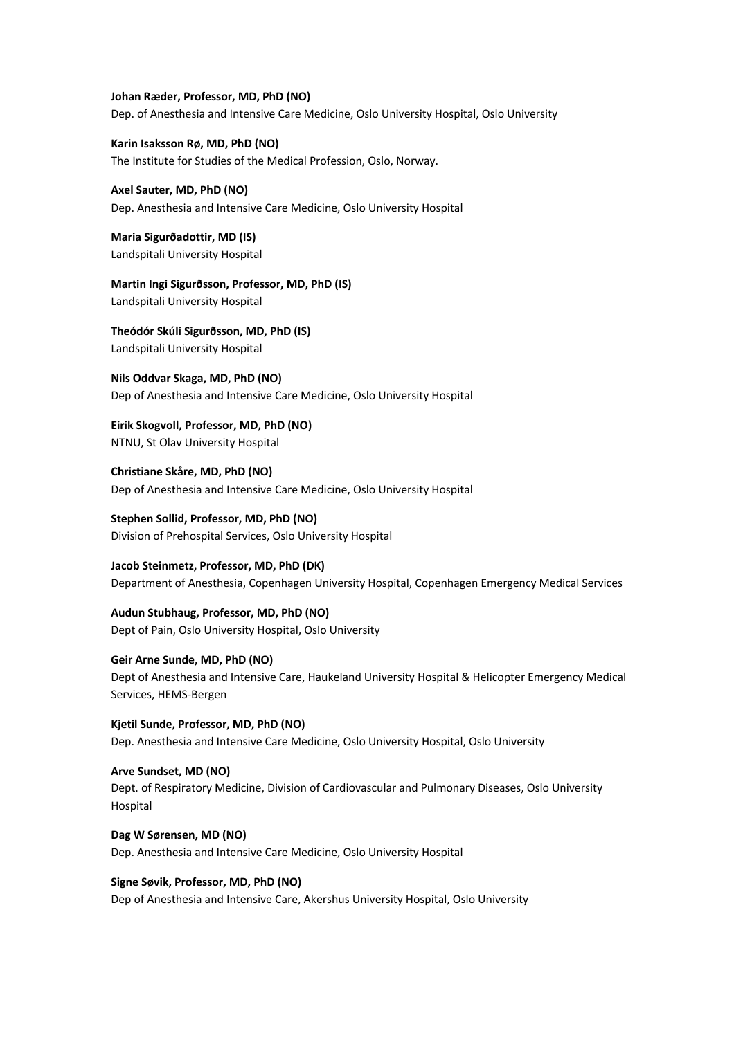**Johan Ræder, Professor, MD, PhD (NO)** Dep. of Anesthesia and Intensive Care Medicine, Oslo University Hospital, Oslo University

**Karin Isaksson Rø, MD, PhD (NO)** The Institute for Studies of the Medical Profession, Oslo, Norway.

**Axel Sauter, MD, PhD (NO)** Dep. Anesthesia and Intensive Care Medicine, Oslo University Hospital

**Maria Sigurðadottir, MD (IS)** Landspitali University Hospital

**Martin Ingi Sigurðsson, Professor, MD, PhD (IS)** Landspitali University Hospital

**Theódór Skúli Sigurðsson, MD, PhD (IS)** Landspitali University Hospital

**Nils Oddvar Skaga, MD, PhD (NO)** Dep of Anesthesia and Intensive Care Medicine, Oslo University Hospital

**Eirik Skogvoll, Professor, MD, PhD (NO)** NTNU, St Olav University Hospital

**Christiane Skåre, MD, PhD (NO)** Dep of Anesthesia and Intensive Care Medicine, Oslo University Hospital

**Stephen Sollid, Professor, MD, PhD (NO)** Division of Prehospital Services, Oslo University Hospital

**Jacob Steinmetz, Professor, MD, PhD (DK)** Department of Anesthesia, Copenhagen University Hospital, Copenhagen Emergency Medical Services

**Audun Stubhaug, Professor, MD, PhD (NO)** Dept of Pain, Oslo University Hospital, Oslo University

**Geir Arne Sunde, MD, PhD (NO)** Dept of Anesthesia and Intensive Care, Haukeland University Hospital & Helicopter Emergency Medical Services, HEMS-Bergen

**Kjetil Sunde, Professor, MD, PhD (NO)** Dep. Anesthesia and Intensive Care Medicine, Oslo University Hospital, Oslo University

**Arve Sundset, MD (NO)** Dept. of Respiratory Medicine, Division of Cardiovascular and Pulmonary Diseases, Oslo University Hospital

**Dag W Sørensen, MD (NO)** Dep. Anesthesia and Intensive Care Medicine, Oslo University Hospital

**Signe Søvik, Professor, MD, PhD (NO)** Dep of Anesthesia and Intensive Care, Akershus University Hospital, Oslo University